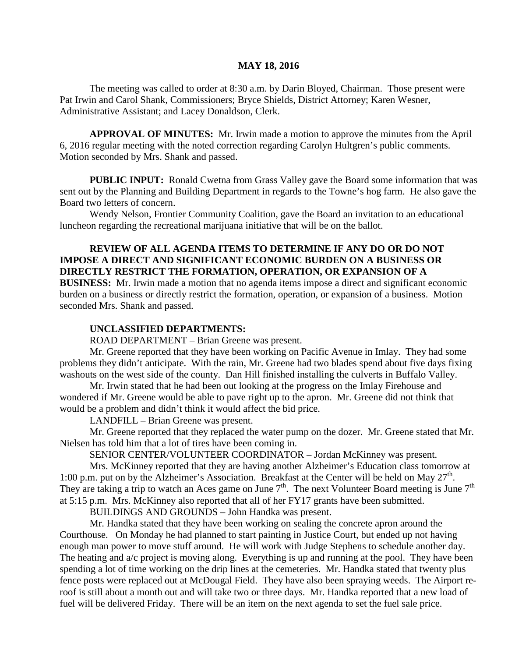#### **MAY 18, 2016**

The meeting was called to order at 8:30 a.m. by Darin Bloyed, Chairman. Those present were Pat Irwin and Carol Shank, Commissioners; Bryce Shields, District Attorney; Karen Wesner, Administrative Assistant; and Lacey Donaldson, Clerk.

**APPROVAL OF MINUTES:** Mr. Irwin made a motion to approve the minutes from the April 6, 2016 regular meeting with the noted correction regarding Carolyn Hultgren's public comments. Motion seconded by Mrs. Shank and passed.

**PUBLIC INPUT:** Ronald Cwetna from Grass Valley gave the Board some information that was sent out by the Planning and Building Department in regards to the Towne's hog farm. He also gave the Board two letters of concern.

Wendy Nelson, Frontier Community Coalition, gave the Board an invitation to an educational luncheon regarding the recreational marijuana initiative that will be on the ballot.

### **REVIEW OF ALL AGENDA ITEMS TO DETERMINE IF ANY DO OR DO NOT IMPOSE A DIRECT AND SIGNIFICANT ECONOMIC BURDEN ON A BUSINESS OR DIRECTLY RESTRICT THE FORMATION, OPERATION, OR EXPANSION OF A**

**BUSINESS:** Mr. Irwin made a motion that no agenda items impose a direct and significant economic burden on a business or directly restrict the formation, operation, or expansion of a business. Motion seconded Mrs. Shank and passed.

#### **UNCLASSIFIED DEPARTMENTS:**

ROAD DEPARTMENT – Brian Greene was present.

Mr. Greene reported that they have been working on Pacific Avenue in Imlay. They had some problems they didn't anticipate. With the rain, Mr. Greene had two blades spend about five days fixing washouts on the west side of the county. Dan Hill finished installing the culverts in Buffalo Valley.

Mr. Irwin stated that he had been out looking at the progress on the Imlay Firehouse and wondered if Mr. Greene would be able to pave right up to the apron. Mr. Greene did not think that would be a problem and didn't think it would affect the bid price.

LANDFILL – Brian Greene was present.

Mr. Greene reported that they replaced the water pump on the dozer. Mr. Greene stated that Mr. Nielsen has told him that a lot of tires have been coming in.

SENIOR CENTER/VOLUNTEER COORDINATOR – Jordan McKinney was present.

Mrs. McKinney reported that they are having another Alzheimer's Education class tomorrow at 1:00 p.m. put on by the Alzheimer's Association. Breakfast at the Center will be held on May  $27<sup>th</sup>$ . They are taking a trip to watch an Aces game on June  $7<sup>th</sup>$ . The next Volunteer Board meeting is June  $7<sup>th</sup>$ at 5:15 p.m. Mrs. McKinney also reported that all of her FY17 grants have been submitted.

BUILDINGS AND GROUNDS – John Handka was present.

Mr. Handka stated that they have been working on sealing the concrete apron around the Courthouse. On Monday he had planned to start painting in Justice Court, but ended up not having enough man power to move stuff around. He will work with Judge Stephens to schedule another day. The heating and a/c project is moving along. Everything is up and running at the pool. They have been spending a lot of time working on the drip lines at the cemeteries. Mr. Handka stated that twenty plus fence posts were replaced out at McDougal Field. They have also been spraying weeds. The Airport reroof is still about a month out and will take two or three days. Mr. Handka reported that a new load of fuel will be delivered Friday. There will be an item on the next agenda to set the fuel sale price.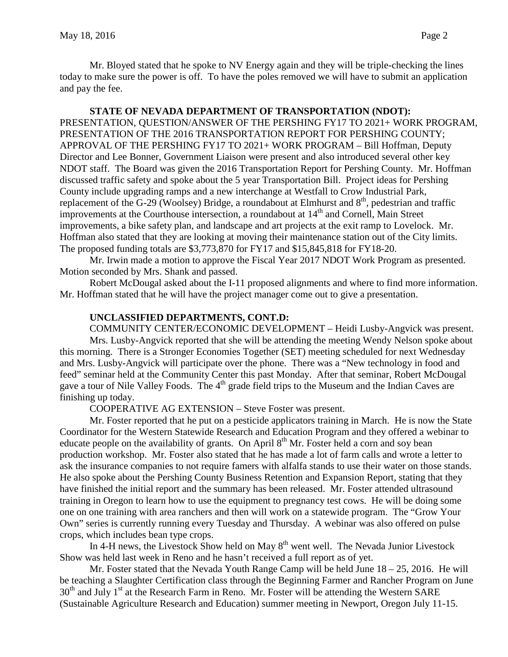Mr. Bloyed stated that he spoke to NV Energy again and they will be triple-checking the lines today to make sure the power is off. To have the poles removed we will have to submit an application and pay the fee.

#### **STATE OF NEVADA DEPARTMENT OF TRANSPORTATION (NDOT):**

PRESENTATION, QUESTION/ANSWER OF THE PERSHING FY17 TO 2021+ WORK PROGRAM, PRESENTATION OF THE 2016 TRANSPORTATION REPORT FOR PERSHING COUNTY; APPROVAL OF THE PERSHING FY17 TO 2021+ WORK PROGRAM – Bill Hoffman, Deputy Director and Lee Bonner, Government Liaison were present and also introduced several other key NDOT staff. The Board was given the 2016 Transportation Report for Pershing County. Mr. Hoffman discussed traffic safety and spoke about the 5 year Transportation Bill. Project ideas for Pershing County include upgrading ramps and a new interchange at Westfall to Crow Industrial Park, replacement of the G-29 (Woolsey) Bridge, a roundabout at Elmhurst and  $8<sup>th</sup>$ , pedestrian and traffic improvements at the Courthouse intersection, a roundabout at  $14<sup>th</sup>$  and Cornell, Main Street improvements, a bike safety plan, and landscape and art projects at the exit ramp to Lovelock. Mr. Hoffman also stated that they are looking at moving their maintenance station out of the City limits. The proposed funding totals are \$3,773,870 for FY17 and \$15,845,818 for FY18-20.

Mr. Irwin made a motion to approve the Fiscal Year 2017 NDOT Work Program as presented. Motion seconded by Mrs. Shank and passed.

Robert McDougal asked about the I-11 proposed alignments and where to find more information. Mr. Hoffman stated that he will have the project manager come out to give a presentation.

### **UNCLASSIFIED DEPARTMENTS, CONT.D:**

COMMUNITY CENTER/ECONOMIC DEVELOPMENT – Heidi Lusby-Angvick was present. Mrs. Lusby-Angvick reported that she will be attending the meeting Wendy Nelson spoke about this morning. There is a Stronger Economies Together (SET) meeting scheduled for next Wednesday and Mrs. Lusby-Angvick will participate over the phone. There was a "New technology in food and feed" seminar held at the Community Center this past Monday. After that seminar, Robert McDougal gave a tour of Nile Valley Foods. The  $4<sup>th</sup>$  grade field trips to the Museum and the Indian Caves are finishing up today.

COOPERATIVE AG EXTENSION – Steve Foster was present.

Mr. Foster reported that he put on a pesticide applicators training in March. He is now the State Coordinator for the Western Statewide Research and Education Program and they offered a webinar to educate people on the availability of grants. On April  $8<sup>th</sup>$  Mr. Foster held a corn and soy bean production workshop. Mr. Foster also stated that he has made a lot of farm calls and wrote a letter to ask the insurance companies to not require famers with alfalfa stands to use their water on those stands. He also spoke about the Pershing County Business Retention and Expansion Report, stating that they have finished the initial report and the summary has been released. Mr. Foster attended ultrasound training in Oregon to learn how to use the equipment to pregnancy test cows. He will be doing some one on one training with area ranchers and then will work on a statewide program. The "Grow Your Own" series is currently running every Tuesday and Thursday. A webinar was also offered on pulse crops, which includes bean type crops.

In 4-H news, the Livestock Show held on May  $8<sup>th</sup>$  went well. The Nevada Junior Livestock Show was held last week in Reno and he hasn't received a full report as of yet.

Mr. Foster stated that the Nevada Youth Range Camp will be held June 18 – 25, 2016. He will be teaching a Slaughter Certification class through the Beginning Farmer and Rancher Program on June  $30<sup>th</sup>$  and July 1<sup>st</sup> at the Research Farm in Reno. Mr. Foster will be attending the Western SARE (Sustainable Agriculture Research and Education) summer meeting in Newport, Oregon July 11-15.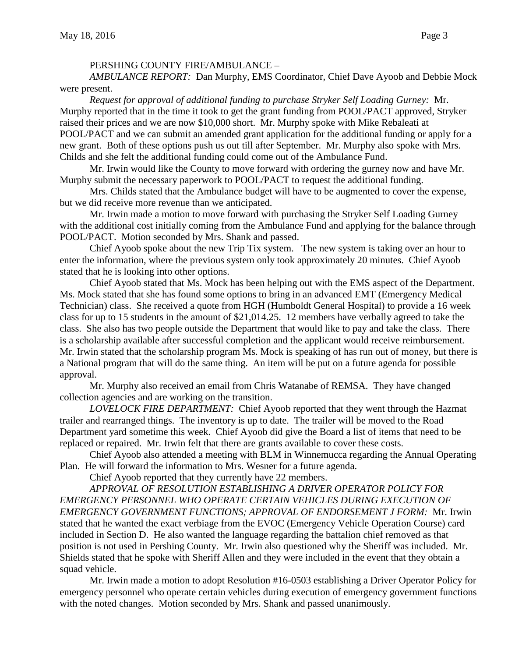#### PERSHING COUNTY FIRE/AMBULANCE –

*AMBULANCE REPORT:* Dan Murphy, EMS Coordinator, Chief Dave Ayoob and Debbie Mock were present.

*Request for approval of additional funding to purchase Stryker Self Loading Gurney:* Mr. Murphy reported that in the time it took to get the grant funding from POOL/PACT approved, Stryker raised their prices and we are now \$10,000 short. Mr. Murphy spoke with Mike Rebaleati at POOL/PACT and we can submit an amended grant application for the additional funding or apply for a new grant. Both of these options push us out till after September. Mr. Murphy also spoke with Mrs. Childs and she felt the additional funding could come out of the Ambulance Fund.

Mr. Irwin would like the County to move forward with ordering the gurney now and have Mr. Murphy submit the necessary paperwork to POOL/PACT to request the additional funding.

Mrs. Childs stated that the Ambulance budget will have to be augmented to cover the expense, but we did receive more revenue than we anticipated.

Mr. Irwin made a motion to move forward with purchasing the Stryker Self Loading Gurney with the additional cost initially coming from the Ambulance Fund and applying for the balance through POOL/PACT. Motion seconded by Mrs. Shank and passed.

Chief Ayoob spoke about the new Trip Tix system. The new system is taking over an hour to enter the information, where the previous system only took approximately 20 minutes. Chief Ayoob stated that he is looking into other options.

Chief Ayoob stated that Ms. Mock has been helping out with the EMS aspect of the Department. Ms. Mock stated that she has found some options to bring in an advanced EMT (Emergency Medical Technician) class. She received a quote from HGH (Humboldt General Hospital) to provide a 16 week class for up to 15 students in the amount of \$21,014.25. 12 members have verbally agreed to take the class. She also has two people outside the Department that would like to pay and take the class. There is a scholarship available after successful completion and the applicant would receive reimbursement. Mr. Irwin stated that the scholarship program Ms. Mock is speaking of has run out of money, but there is a National program that will do the same thing. An item will be put on a future agenda for possible approval.

Mr. Murphy also received an email from Chris Watanabe of REMSA. They have changed collection agencies and are working on the transition.

*LOVELOCK FIRE DEPARTMENT:* Chief Ayoob reported that they went through the Hazmat trailer and rearranged things. The inventory is up to date. The trailer will be moved to the Road Department yard sometime this week. Chief Ayoob did give the Board a list of items that need to be replaced or repaired. Mr. Irwin felt that there are grants available to cover these costs.

Chief Ayoob also attended a meeting with BLM in Winnemucca regarding the Annual Operating Plan. He will forward the information to Mrs. Wesner for a future agenda.

Chief Ayoob reported that they currently have 22 members.

*APPROVAL OF RESOLUTION ESTABLISHING A DRIVER OPERATOR POLICY FOR EMERGENCY PERSONNEL WHO OPERATE CERTAIN VEHICLES DURING EXECUTION OF EMERGENCY GOVERNMENT FUNCTIONS; APPROVAL OF ENDORSEMENT J FORM:* Mr. Irwin stated that he wanted the exact verbiage from the EVOC (Emergency Vehicle Operation Course) card included in Section D. He also wanted the language regarding the battalion chief removed as that position is not used in Pershing County. Mr. Irwin also questioned why the Sheriff was included. Mr. Shields stated that he spoke with Sheriff Allen and they were included in the event that they obtain a squad vehicle.

Mr. Irwin made a motion to adopt Resolution #16-0503 establishing a Driver Operator Policy for emergency personnel who operate certain vehicles during execution of emergency government functions with the noted changes. Motion seconded by Mrs. Shank and passed unanimously.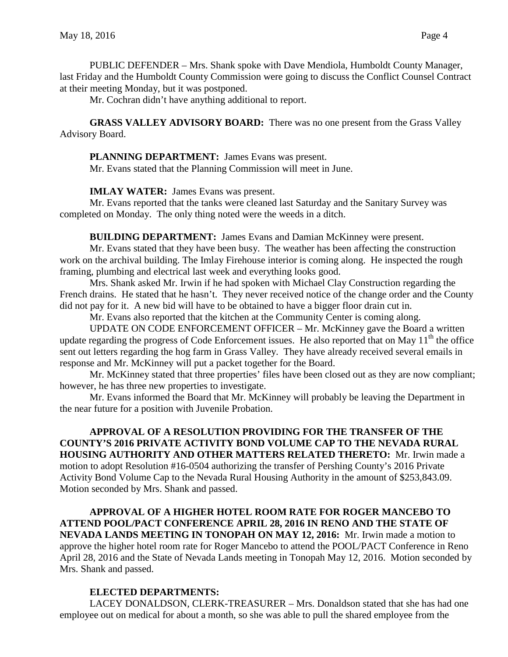PUBLIC DEFENDER – Mrs. Shank spoke with Dave Mendiola, Humboldt County Manager, last Friday and the Humboldt County Commission were going to discuss the Conflict Counsel Contract at their meeting Monday, but it was postponed.

Mr. Cochran didn't have anything additional to report.

**GRASS VALLEY ADVISORY BOARD:** There was no one present from the Grass Valley Advisory Board.

**PLANNING DEPARTMENT:** James Evans was present.

Mr. Evans stated that the Planning Commission will meet in June.

**IMLAY WATER:** James Evans was present.

Mr. Evans reported that the tanks were cleaned last Saturday and the Sanitary Survey was completed on Monday. The only thing noted were the weeds in a ditch.

**BUILDING DEPARTMENT:** James Evans and Damian McKinney were present.

Mr. Evans stated that they have been busy. The weather has been affecting the construction work on the archival building. The Imlay Firehouse interior is coming along. He inspected the rough framing, plumbing and electrical last week and everything looks good.

Mrs. Shank asked Mr. Irwin if he had spoken with Michael Clay Construction regarding the French drains. He stated that he hasn't. They never received notice of the change order and the County did not pay for it. A new bid will have to be obtained to have a bigger floor drain cut in.

Mr. Evans also reported that the kitchen at the Community Center is coming along.

UPDATE ON CODE ENFORCEMENT OFFICER – Mr. McKinney gave the Board a written update regarding the progress of Code Enforcement issues. He also reported that on May  $11<sup>th</sup>$  the office sent out letters regarding the hog farm in Grass Valley. They have already received several emails in response and Mr. McKinney will put a packet together for the Board.

Mr. McKinney stated that three properties' files have been closed out as they are now compliant; however, he has three new properties to investigate.

Mr. Evans informed the Board that Mr. McKinney will probably be leaving the Department in the near future for a position with Juvenile Probation.

**APPROVAL OF A RESOLUTION PROVIDING FOR THE TRANSFER OF THE COUNTY'S 2016 PRIVATE ACTIVITY BOND VOLUME CAP TO THE NEVADA RURAL HOUSING AUTHORITY AND OTHER MATTERS RELATED THERETO:** Mr. Irwin made a motion to adopt Resolution #16-0504 authorizing the transfer of Pershing County's 2016 Private Activity Bond Volume Cap to the Nevada Rural Housing Authority in the amount of \$253,843.09. Motion seconded by Mrs. Shank and passed.

**APPROVAL OF A HIGHER HOTEL ROOM RATE FOR ROGER MANCEBO TO ATTEND POOL/PACT CONFERENCE APRIL 28, 2016 IN RENO AND THE STATE OF NEVADA LANDS MEETING IN TONOPAH ON MAY 12, 2016:** Mr. Irwin made a motion to approve the higher hotel room rate for Roger Mancebo to attend the POOL/PACT Conference in Reno April 28, 2016 and the State of Nevada Lands meeting in Tonopah May 12, 2016. Motion seconded by Mrs. Shank and passed.

## **ELECTED DEPARTMENTS:**

LACEY DONALDSON, CLERK-TREASURER – Mrs. Donaldson stated that she has had one employee out on medical for about a month, so she was able to pull the shared employee from the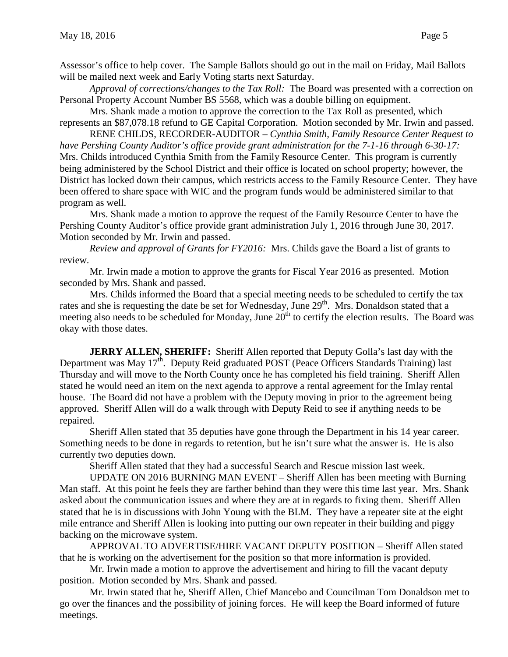Assessor's office to help cover. The Sample Ballots should go out in the mail on Friday, Mail Ballots will be mailed next week and Early Voting starts next Saturday.

*Approval of corrections/changes to the Tax Roll:* The Board was presented with a correction on Personal Property Account Number BS 5568, which was a double billing on equipment.

Mrs. Shank made a motion to approve the correction to the Tax Roll as presented, which represents an \$87,078.18 refund to GE Capital Corporation. Motion seconded by Mr. Irwin and passed.

RENE CHILDS, RECORDER-AUDITOR – *Cynthia Smith, Family Resource Center Request to have Pershing County Auditor's office provide grant administration for the 7-1-16 through 6-30-17:*  Mrs. Childs introduced Cynthia Smith from the Family Resource Center. This program is currently being administered by the School District and their office is located on school property; however, the District has locked down their campus, which restricts access to the Family Resource Center. They have been offered to share space with WIC and the program funds would be administered similar to that program as well.

Mrs. Shank made a motion to approve the request of the Family Resource Center to have the Pershing County Auditor's office provide grant administration July 1, 2016 through June 30, 2017. Motion seconded by Mr. Irwin and passed.

*Review and approval of Grants for FY2016:* Mrs. Childs gave the Board a list of grants to review.

Mr. Irwin made a motion to approve the grants for Fiscal Year 2016 as presented. Motion seconded by Mrs. Shank and passed.

Mrs. Childs informed the Board that a special meeting needs to be scheduled to certify the tax rates and she is requesting the date be set for Wednesday, June 29<sup>th</sup>. Mrs. Donaldson stated that a meeting also needs to be scheduled for Monday, June 20<sup>th</sup> to certify the election results. The Board was okay with those dates.

**JERRY ALLEN, SHERIFF:** Sheriff Allen reported that Deputy Golla's last day with the Department was May 17<sup>th</sup>. Deputy Reid graduated POST (Peace Officers Standards Training) last Thursday and will move to the North County once he has completed his field training. Sheriff Allen stated he would need an item on the next agenda to approve a rental agreement for the Imlay rental house. The Board did not have a problem with the Deputy moving in prior to the agreement being approved. Sheriff Allen will do a walk through with Deputy Reid to see if anything needs to be repaired.

Sheriff Allen stated that 35 deputies have gone through the Department in his 14 year career. Something needs to be done in regards to retention, but he isn't sure what the answer is. He is also currently two deputies down.

Sheriff Allen stated that they had a successful Search and Rescue mission last week.

UPDATE ON 2016 BURNING MAN EVENT – Sheriff Allen has been meeting with Burning Man staff. At this point he feels they are farther behind than they were this time last year. Mrs. Shank asked about the communication issues and where they are at in regards to fixing them. Sheriff Allen stated that he is in discussions with John Young with the BLM. They have a repeater site at the eight mile entrance and Sheriff Allen is looking into putting our own repeater in their building and piggy backing on the microwave system.

APPROVAL TO ADVERTISE/HIRE VACANT DEPUTY POSITION – Sheriff Allen stated that he is working on the advertisement for the position so that more information is provided.

Mr. Irwin made a motion to approve the advertisement and hiring to fill the vacant deputy position. Motion seconded by Mrs. Shank and passed.

Mr. Irwin stated that he, Sheriff Allen, Chief Mancebo and Councilman Tom Donaldson met to go over the finances and the possibility of joining forces. He will keep the Board informed of future meetings.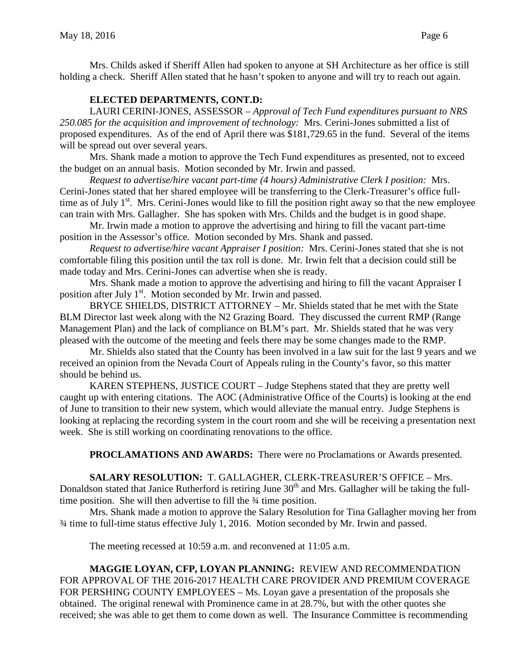# **ELECTED DEPARTMENTS, CONT.D:**

LAURI CERINI-JONES, ASSESSOR – *Approval of Tech Fund expenditures pursuant to NRS 250.085 for the acquisition and improvement of technology:* Mrs. Cerini-Jones submitted a list of proposed expenditures. As of the end of April there was \$181,729.65 in the fund. Several of the items will be spread out over several years.

Mrs. Shank made a motion to approve the Tech Fund expenditures as presented, not to exceed the budget on an annual basis. Motion seconded by Mr. Irwin and passed.

*Request to advertise/hire vacant part-time (4 hours) Administrative Clerk I position:* Mrs. Cerini-Jones stated that her shared employee will be transferring to the Clerk-Treasurer's office fulltime as of July  $1<sup>st</sup>$ . Mrs. Cerini-Jones would like to fill the position right away so that the new employee can train with Mrs. Gallagher. She has spoken with Mrs. Childs and the budget is in good shape.

Mr. Irwin made a motion to approve the advertising and hiring to fill the vacant part-time position in the Assessor's office. Motion seconded by Mrs. Shank and passed.

*Request to advertise/hire vacant Appraiser I position:* Mrs. Cerini-Jones stated that she is not comfortable filing this position until the tax roll is done. Mr. Irwin felt that a decision could still be made today and Mrs. Cerini-Jones can advertise when she is ready.

Mrs. Shank made a motion to approve the advertising and hiring to fill the vacant Appraiser I position after July 1<sup>st</sup>. Motion seconded by Mr. Irwin and passed.

BRYCE SHIELDS, DISTRICT ATTORNEY – Mr. Shields stated that he met with the State BLM Director last week along with the N2 Grazing Board. They discussed the current RMP (Range Management Plan) and the lack of compliance on BLM's part. Mr. Shields stated that he was very pleased with the outcome of the meeting and feels there may be some changes made to the RMP.

Mr. Shields also stated that the County has been involved in a law suit for the last 9 years and we received an opinion from the Nevada Court of Appeals ruling in the County's favor, so this matter should be behind us.

KAREN STEPHENS, JUSTICE COURT – Judge Stephens stated that they are pretty well caught up with entering citations. The AOC (Administrative Office of the Courts) is looking at the end of June to transition to their new system, which would alleviate the manual entry. Judge Stephens is looking at replacing the recording system in the court room and she will be receiving a presentation next week. She is still working on coordinating renovations to the office.

**PROCLAMATIONS AND AWARDS:** There were no Proclamations or Awards presented.

**SALARY RESOLUTION:** T. GALLAGHER, CLERK-TREASURER'S OFFICE – Mrs. Donaldson stated that Janice Rutherford is retiring June 30<sup>th</sup> and Mrs. Gallagher will be taking the fulltime position. She will then advertise to fill the  $\frac{3}{4}$  time position.

Mrs. Shank made a motion to approve the Salary Resolution for Tina Gallagher moving her from ¾ time to full-time status effective July 1, 2016. Motion seconded by Mr. Irwin and passed.

The meeting recessed at 10:59 a.m. and reconvened at 11:05 a.m.

**MAGGIE LOYAN, CFP, LOYAN PLANNING:** REVIEW AND RECOMMENDATION FOR APPROVAL OF THE 2016-2017 HEALTH CARE PROVIDER AND PREMIUM COVERAGE FOR PERSHING COUNTY EMPLOYEES – Ms. Loyan gave a presentation of the proposals she obtained. The original renewal with Prominence came in at 28.7%, but with the other quotes she received; she was able to get them to come down as well. The Insurance Committee is recommending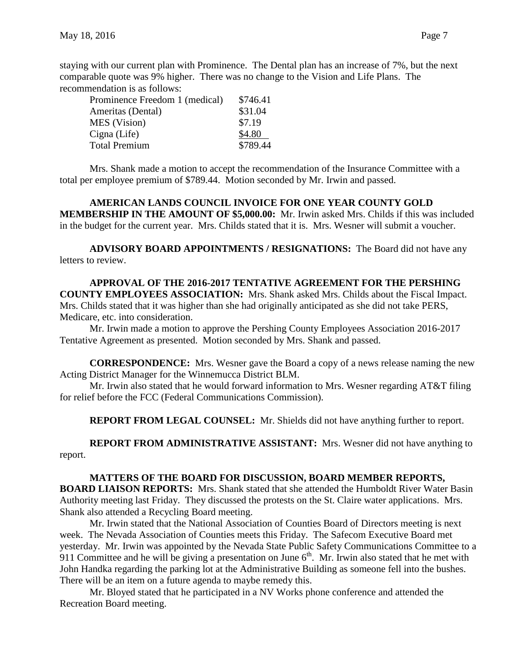staying with our current plan with Prominence. The Dental plan has an increase of 7%, but the next comparable quote was 9% higher. There was no change to the Vision and Life Plans. The recommendation is as follows:

| Prominence Freedom 1 (medical) | \$746.41 |
|--------------------------------|----------|
| Ameritas (Dental)              | \$31.04  |
| <b>MES</b> (Vision)            | \$7.19   |
| Cigna (Life)                   | \$4.80   |
| <b>Total Premium</b>           | \$789.44 |

Mrs. Shank made a motion to accept the recommendation of the Insurance Committee with a total per employee premium of \$789.44. Motion seconded by Mr. Irwin and passed.

**AMERICAN LANDS COUNCIL INVOICE FOR ONE YEAR COUNTY GOLD MEMBERSHIP IN THE AMOUNT OF \$5,000.00:** Mr. Irwin asked Mrs. Childs if this was included in the budget for the current year. Mrs. Childs stated that it is. Mrs. Wesner will submit a voucher.

**ADVISORY BOARD APPOINTMENTS / RESIGNATIONS:** The Board did not have any letters to review.

**APPROVAL OF THE 2016-2017 TENTATIVE AGREEMENT FOR THE PERSHING COUNTY EMPLOYEES ASSOCIATION:** Mrs. Shank asked Mrs. Childs about the Fiscal Impact. Mrs. Childs stated that it was higher than she had originally anticipated as she did not take PERS, Medicare, etc. into consideration.

Mr. Irwin made a motion to approve the Pershing County Employees Association 2016-2017 Tentative Agreement as presented. Motion seconded by Mrs. Shank and passed.

**CORRESPONDENCE:** Mrs. Wesner gave the Board a copy of a news release naming the new Acting District Manager for the Winnemucca District BLM.

Mr. Irwin also stated that he would forward information to Mrs. Wesner regarding AT&T filing for relief before the FCC (Federal Communications Commission).

**REPORT FROM LEGAL COUNSEL:** Mr. Shields did not have anything further to report.

**REPORT FROM ADMINISTRATIVE ASSISTANT:** Mrs. Wesner did not have anything to report.

**MATTERS OF THE BOARD FOR DISCUSSION, BOARD MEMBER REPORTS, BOARD LIAISON REPORTS:** Mrs. Shank stated that she attended the Humboldt River Water Basin Authority meeting last Friday. They discussed the protests on the St. Claire water applications. Mrs. Shank also attended a Recycling Board meeting.

Mr. Irwin stated that the National Association of Counties Board of Directors meeting is next week. The Nevada Association of Counties meets this Friday. The Safecom Executive Board met yesterday. Mr. Irwin was appointed by the Nevada State Public Safety Communications Committee to a 911 Committee and he will be giving a presentation on June  $6<sup>th</sup>$ . Mr. Irwin also stated that he met with John Handka regarding the parking lot at the Administrative Building as someone fell into the bushes. There will be an item on a future agenda to maybe remedy this.

Mr. Bloyed stated that he participated in a NV Works phone conference and attended the Recreation Board meeting.